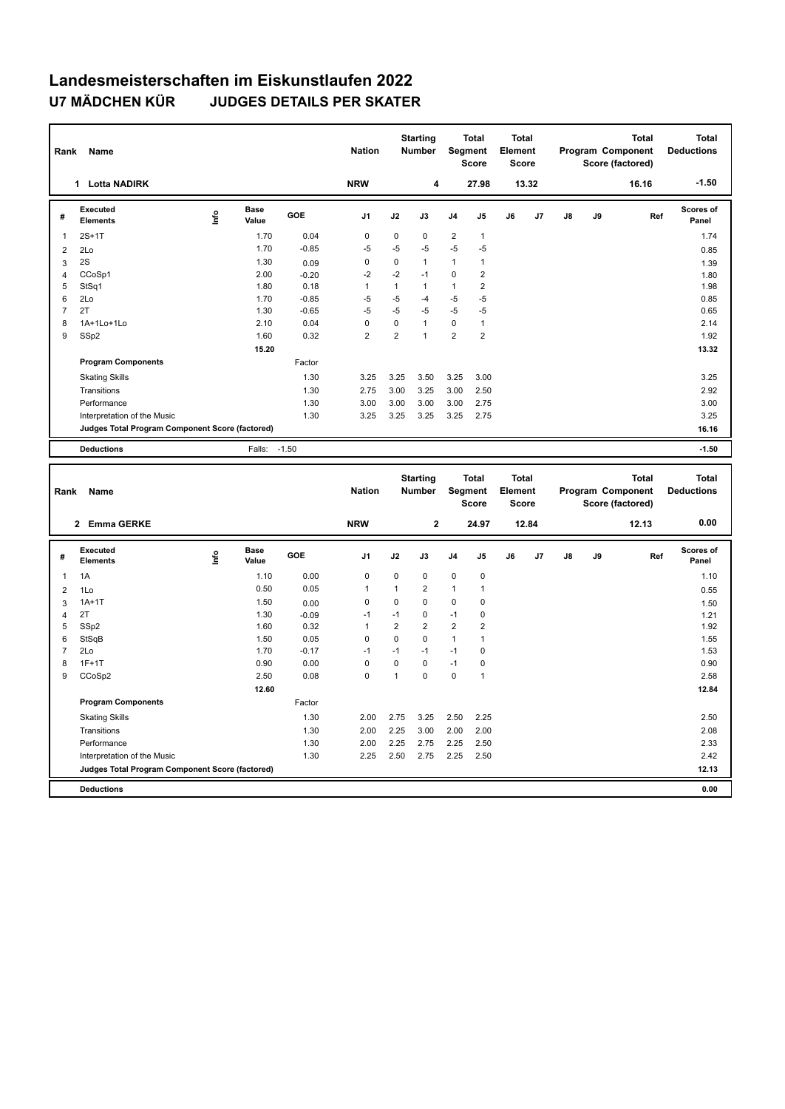## **Landesmeisterschaften im Eiskunstlaufen 2022 U7 MÄDCHEN KÜR JUDGES DETAILS PER SKATER**

| Rank           | Name                                            |      |                      |         | <b>Nation</b>  |                     | <b>Starting</b><br>Number        | Segment             | <b>Total</b><br><b>Score</b>   | <b>Total</b><br>Element<br><b>Score</b> |       |    |    | <b>Total</b><br>Program Component<br>Score (factored) | <b>Total</b><br><b>Deductions</b> |
|----------------|-------------------------------------------------|------|----------------------|---------|----------------|---------------------|----------------------------------|---------------------|--------------------------------|-----------------------------------------|-------|----|----|-------------------------------------------------------|-----------------------------------|
|                | 1 Lotta NADIRK                                  |      |                      |         | <b>NRW</b>     |                     | 4                                |                     | 27.98                          |                                         | 13.32 |    |    | 16.16                                                 | $-1.50$                           |
| #              | Executed<br><b>Elements</b>                     | lnfo | <b>Base</b><br>Value | GOE     | J1             | J2                  | J3                               | J4                  | J5                             | J6                                      | J7    | J8 | J9 | Ref                                                   | Scores of<br>Panel                |
| 1              | $2S+1T$                                         |      | 1.70                 | 0.04    | $\mathbf 0$    | 0                   | $\mathbf 0$                      | 2                   | $\mathbf{1}$                   |                                         |       |    |    |                                                       | 1.74                              |
| $\overline{2}$ | 2Lo                                             |      | 1.70                 | $-0.85$ | $-5$           | $-5$                | $-5$                             | $-5$                | $-5$                           |                                         |       |    |    |                                                       | 0.85                              |
| 3              | 2S                                              |      | 1.30                 | 0.09    | 0              | $\pmb{0}$           | $\mathbf{1}$                     | $\mathbf{1}$        | $\mathbf{1}$                   |                                         |       |    |    |                                                       | 1.39                              |
| 4              | CCoSp1                                          |      | 2.00                 | $-0.20$ | $-2$           | $-2$                | $-1$                             | $\pmb{0}$           | $\overline{2}$                 |                                         |       |    |    |                                                       | 1.80                              |
| 5              | StSq1                                           |      | 1.80                 | 0.18    | $\mathbf{1}$   | $\mathbf{1}$        | $\mathbf{1}$                     | $\mathbf{1}$        | $\overline{\mathbf{c}}$        |                                         |       |    |    |                                                       | 1.98                              |
| 6              | 2Lo                                             |      | 1.70                 | $-0.85$ | -5             | -5                  | $-4$                             | $-5$                | $-5$                           |                                         |       |    |    |                                                       | 0.85                              |
| $\overline{7}$ | 2T                                              |      | 1.30                 | $-0.65$ | $-5$           | $-5$                | $-5$                             | $-5$                | $-5$                           |                                         |       |    |    |                                                       | 0.65                              |
| 8              | 1A+1Lo+1Lo                                      |      | 2.10                 | 0.04    | $\mathbf 0$    | 0<br>$\overline{2}$ | $\overline{1}$<br>$\overline{1}$ | 0<br>$\overline{2}$ | $\mathbf{1}$<br>$\overline{2}$ |                                         |       |    |    |                                                       | 2.14                              |
| 9              | SSp2                                            |      | 1.60                 | 0.32    | $\overline{2}$ |                     |                                  |                     |                                |                                         |       |    |    |                                                       | 1.92                              |
|                |                                                 |      | 15.20                |         |                |                     |                                  |                     |                                |                                         |       |    |    |                                                       | 13.32                             |
|                | <b>Program Components</b>                       |      |                      | Factor  |                |                     |                                  |                     |                                |                                         |       |    |    |                                                       |                                   |
|                | <b>Skating Skills</b>                           |      |                      | 1.30    | 3.25           | 3.25                | 3.50                             | 3.25                | 3.00                           |                                         |       |    |    |                                                       | 3.25                              |
|                | Transitions                                     |      |                      | 1.30    | 2.75           | 3.00                | 3.25                             | 3.00                | 2.50                           |                                         |       |    |    |                                                       | 2.92                              |
|                | Performance                                     |      |                      | 1.30    | 3.00           | 3.00                | 3.00                             | 3.00                | 2.75                           |                                         |       |    |    |                                                       | 3.00                              |
|                | Interpretation of the Music                     |      |                      | 1.30    | 3.25           | 3.25                | 3.25                             | 3.25                | 2.75                           |                                         |       |    |    |                                                       | 3.25                              |
|                | Judges Total Program Component Score (factored) |      |                      |         |                |                     |                                  |                     |                                |                                         |       |    |    |                                                       | 16.16                             |
|                | <b>Deductions</b>                               |      | Falls:               | $-1.50$ |                |                     |                                  |                     |                                |                                         |       |    |    |                                                       | $-1.50$                           |
|                |                                                 |      |                      |         |                |                     |                                  |                     |                                | <b>Total</b>                            |       |    |    |                                                       |                                   |
| Rank           | <b>Name</b>                                     |      |                      |         | <b>Nation</b>  |                     | <b>Starting</b><br>Number        | Segment             | <b>Total</b><br><b>Score</b>   | Element<br><b>Score</b>                 |       |    |    | <b>Total</b><br>Program Component<br>Score (factored) | <b>Total</b><br><b>Deductions</b> |
|                | 2 Emma GERKE                                    |      |                      |         | <b>NRW</b>     |                     | $\mathbf{2}$                     |                     | 24.97                          |                                         | 12.84 |    |    | 12.13                                                 | 0.00                              |
| #              | <b>Executed</b><br><b>Elements</b>              | lnfo | <b>Base</b><br>Value | GOE     | J1             | J2                  | J3                               | J4                  | J5                             | J6                                      | J7    | J8 | J9 | Ref                                                   | Scores of<br>Panel                |
| $\mathbf{1}$   | 1A                                              |      | 1.10                 | 0.00    | $\mathbf 0$    | 0                   | $\mathbf 0$                      | $\mathbf 0$         | $\pmb{0}$                      |                                         |       |    |    |                                                       | 1.10                              |
| $\overline{2}$ | 1Lo                                             |      | 0.50                 | 0.05    | 1              | $\mathbf{1}$        | $\overline{2}$                   | 1                   | $\mathbf{1}$                   |                                         |       |    |    |                                                       | 0.55                              |
| 3              | $1A+1T$                                         |      | 1.50                 | 0.00    | $\mathbf 0$    | 0                   | $\mathbf 0$                      | $\mathbf 0$         | 0                              |                                         |       |    |    |                                                       | 1.50                              |
| 4              | 2T                                              |      | 1.30                 | $-0.09$ | $-1$           | $-1$                | $\mathbf 0$                      | $-1$                | 0                              |                                         |       |    |    |                                                       | 1.21                              |
| 5              | SSp2                                            |      | 1.60                 | 0.32    | $\mathbf{1}$   | $\overline{2}$      | $\overline{2}$                   | $\overline{2}$      | $\overline{2}$                 |                                         |       |    |    |                                                       | 1.92                              |
| 6              | StSqB                                           |      | 1.50                 | 0.05    | $\mathbf 0$    | 0                   | $\mathbf 0$                      | $\mathbf{1}$        | $\mathbf{1}$                   |                                         |       |    |    |                                                       | 1.55                              |
| $\overline{7}$ | 2Lo                                             |      | 1.70                 | $-0.17$ | $-1$           | $-1$                | $-1$                             | $-1$                | $\pmb{0}$                      |                                         |       |    |    |                                                       | 1.53                              |
| 8              | $1F+1T$                                         |      | 0.90                 | 0.00    | $\mathbf 0$    | 0                   | $\mathbf 0$                      | $-1$                | 0                              |                                         |       |    |    |                                                       | 0.90                              |
| 9              | CCoSp2                                          |      | 2.50                 | 0.08    | $\Omega$       | $\mathbf{1}$        | $\Omega$                         | $\mathbf 0$         | $\mathbf{1}$                   |                                         |       |    |    |                                                       | 2.58                              |
|                |                                                 |      | 12.60                |         |                |                     |                                  |                     |                                |                                         |       |    |    |                                                       | 12.84                             |
|                | <b>Program Components</b>                       |      |                      | Factor  |                |                     |                                  |                     |                                |                                         |       |    |    |                                                       |                                   |
|                | <b>Skating Skills</b>                           |      |                      | 1.30    | 2.00           | 2.75                | 3.25                             | 2.50                | 2.25                           |                                         |       |    |    |                                                       | 2.50                              |
|                | Transitions                                     |      |                      | 1.30    | 2.00           | 2.25                | 3.00                             | 2.00                | 2.00                           |                                         |       |    |    |                                                       | 2.08                              |
|                | Performance                                     |      |                      | 1.30    | 2.00           | 2.25                | 2.75                             | 2.25                | 2.50                           |                                         |       |    |    |                                                       | 2.33                              |
|                | Interpretation of the Music                     |      |                      | 1.30    | 2.25           | 2.50                | 2.75                             | 2.25                | 2.50                           |                                         |       |    |    |                                                       | 2.42                              |
|                | Judges Total Program Component Score (factored) |      |                      |         |                |                     |                                  |                     |                                |                                         |       |    |    |                                                       | 12.13                             |